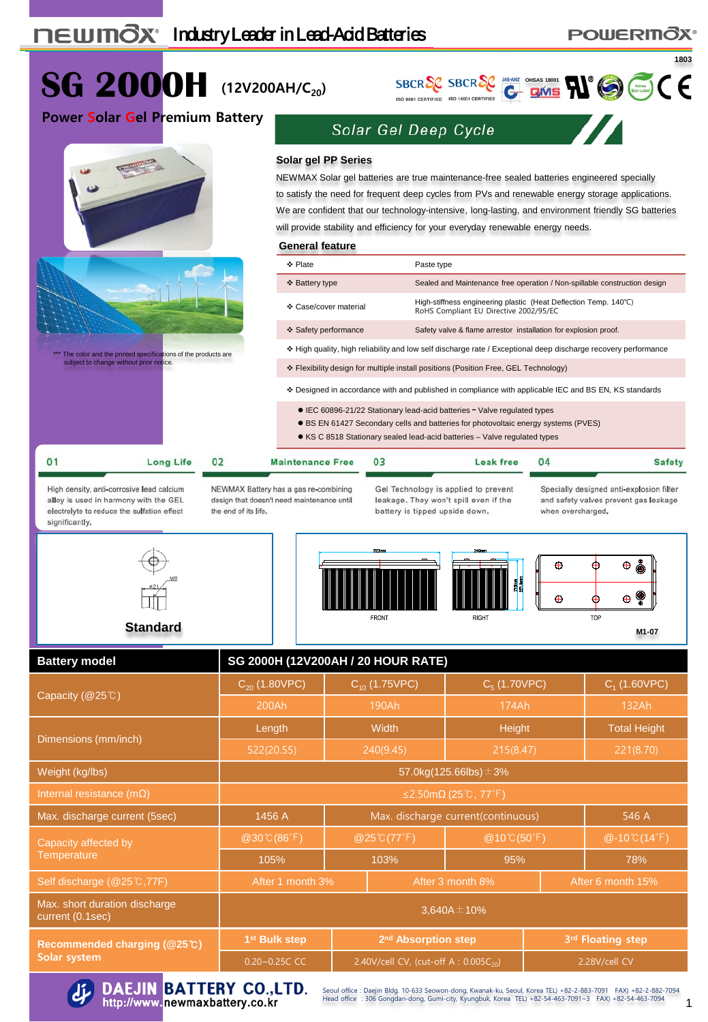## **POWERINOX®**



Max. short duration discharge  $\frac{1}{2}$  current (0.1sec) 3,640A $\pm$ 10%

**Recommended charging (@25**℃**) Solar system**



DAEJIN BATTERY CO., LTD.<br>http://www.newmaxbattery.co.kr

Seoul office : Daejin Bldg. 10-633 Seowon-dong, Kwanak-ku, Seoul, Korea TEL) +82-2-883-7091 FAX) +82-2-882-7094<br>Head office : 306 Gongdan-dong, Gumi-city, Kyungbuk, Korea TEL) +82-54-463-7091~3 FAX) +82-54-463-7094

**1st Bulk step 2nd Absorption step 3rd Floating step** 0.20~0.25C CC 2.40V/cell CV, (cut-off A : 0.005C<sub>20</sub>) 2.28V/cell CV